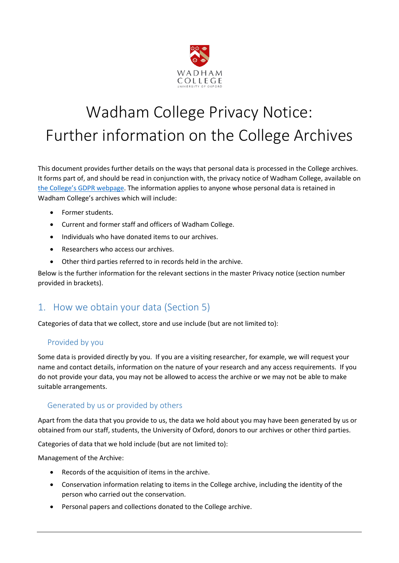

# Wadham College Privacy Notice: Further information on the College Archives

This document provides further details on the ways that personal data is processed in the College archives. It forms part of, and should be read in conjunction with, the privacy notice of Wadham College, available on [the College's GDPR webpage](https://www.wadham.ox.ac.uk/governance/wadham-college-gdpr-framework). The information applies to anyone whose personal data is retained in Wadham College's archives which will include:

- Former students.
- Current and former staff and officers of Wadham College.
- Individuals who have donated items to our archives.
- Researchers who access our archives.
- Other third parties referred to in records held in the archive.

Below is the further information for the relevant sections in the master Privacy notice (section number provided in brackets).

## 1. How we obtain your data (Section 5)

Categories of data that we collect, store and use include (but are not limited to):

#### Provided by you

Some data is provided directly by you. If you are a visiting researcher, for example, we will request your name and contact details, information on the nature of your research and any access requirements. If you do not provide your data, you may not be allowed to access the archive or we may not be able to make suitable arrangements.

#### Generated by us or provided by others

Apart from the data that you provide to us, the data we hold about you may have been generated by us or obtained from our staff, students, the University of Oxford, donors to our archives or other third parties.

Categories of data that we hold include (but are not limited to):

Management of the Archive:

- Records of the acquisition of items in the archive.
- Conservation information relating to items in the College archive, including the identity of the person who carried out the conservation.
- Personal papers and collections donated to the College archive.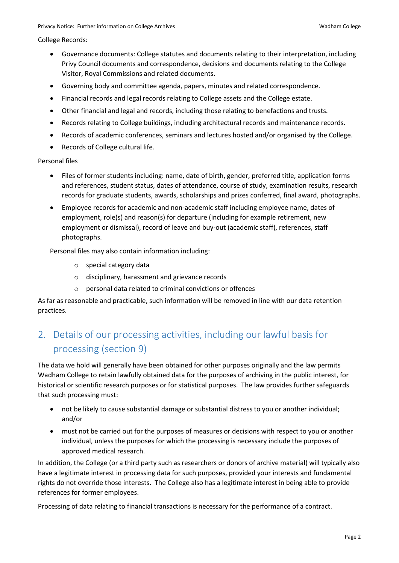College Records:

- Governance documents: College statutes and documents relating to their interpretation, including Privy Council documents and correspondence, decisions and documents relating to the College Visitor, Royal Commissions and related documents.
- Governing body and committee agenda, papers, minutes and related correspondence.
- Financial records and legal records relating to College assets and the College estate.
- Other financial and legal and records, including those relating to benefactions and trusts.
- Records relating to College buildings, including architectural records and maintenance records.
- Records of academic conferences, seminars and lectures hosted and/or organised by the College.
- Records of College cultural life.

Personal files

- Files of former students including: name, date of birth, gender, preferred title, application forms and references, student status, dates of attendance, course of study, examination results, research records for graduate students, awards, scholarships and prizes conferred, final award, photographs.
- Employee records for academic and non-academic staff including employee name, dates of employment, role(s) and reason(s) for departure (including for example retirement, new employment or dismissal), record of leave and buy-out (academic staff), references, staff photographs.

Personal files may also contain information including:

- o special category data
- o disciplinary, harassment and grievance records
- o personal data related to criminal convictions or offences

As far as reasonable and practicable, such information will be removed in line with our data retention practices.

# 2. Details of our processing activities, including our lawful basis for processing (section 9)

The data we hold will generally have been obtained for other purposes originally and the law permits Wadham College to retain lawfully obtained data for the purposes of archiving in the public interest, for historical or scientific research purposes or for statistical purposes. The law provides further safeguards that such processing must:

- not be likely to cause substantial damage or substantial distress to you or another individual; and/or
- must not be carried out for the purposes of measures or decisions with respect to you or another individual, unless the purposes for which the processing is necessary include the purposes of approved medical research.

In addition, the College (or a third party such as researchers or donors of archive material) will typically also have a legitimate interest in processing data for such purposes, provided your interests and fundamental rights do not override those interests. The College also has a legitimate interest in being able to provide references for former employees.

Processing of data relating to financial transactions is necessary for the performance of a contract.